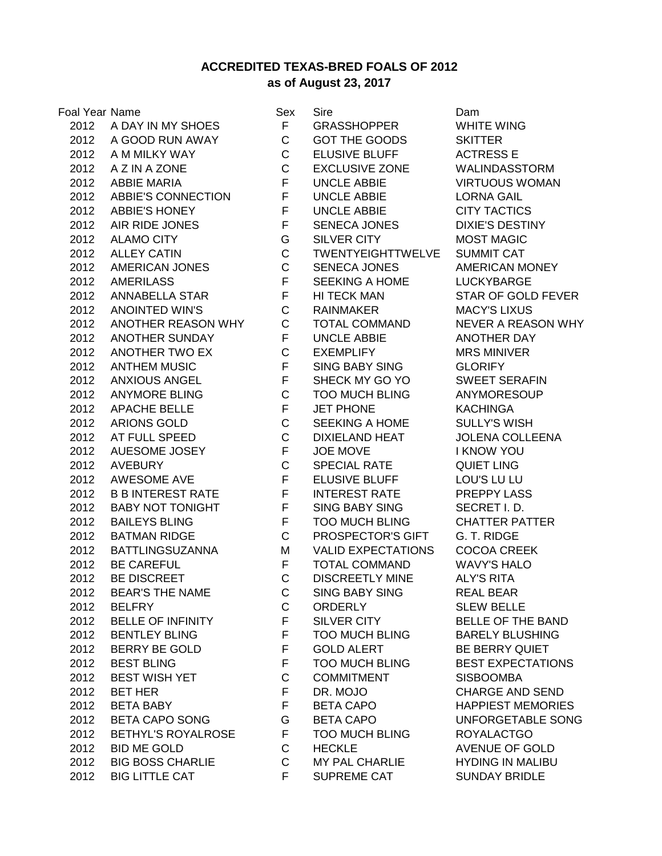## **ACCREDITED TEXAS-BRED FOALS OF 2012 as of August 23, 2017**

| Foal Year Name |                           | Sex          | Sire                      | Dam              |
|----------------|---------------------------|--------------|---------------------------|------------------|
| 2012           | A DAY IN MY SHOES         | F            | <b>GRASSHOPPER</b>        | <b>WHI</b>       |
|                | 2012 A GOOD RUN AWAY      | $\mathbf{C}$ | <b>GOT THE GOODS</b>      | <b>SKIT</b>      |
| 2012           | A M MILKY WAY             | $\mathsf{C}$ | <b>ELUSIVE BLUFF</b>      | <b>ACT</b>       |
| 2012           | A Z IN A ZONE             | $\mathsf{C}$ | <b>EXCLUSIVE ZONE</b>     | <b>WAL</b>       |
| 2012           | <b>ABBIE MARIA</b>        | F            | <b>UNCLE ABBIE</b>        | <b>VIRT</b>      |
| 2012           | ABBIE'S CONNECTION        | F            | <b>UNCLE ABBIE</b>        | <b>LOR</b>       |
| 2012           | <b>ABBIE'S HONEY</b>      | F            | <b>UNCLE ABBIE</b>        | <b>CITY</b>      |
| 2012           | AIR RIDE JONES            | F            | SENECA JONES              | <b>DIXII</b>     |
| 2012           | <b>ALAMO CITY</b>         | G            | SILVER CITY               | <b>MOS</b>       |
| 2012           | <b>ALLEY CATIN</b>        | $\mathsf{C}$ | <b>TWENTYEIGHTTWELVE</b>  | <b>SUM</b>       |
| 2012           | AMERICAN JONES            | $\mathbf C$  | <b>SENECA JONES</b>       | <b>AME</b>       |
| 2012           | <b>AMERILASS</b>          | F            | SEEKING A HOME            | <b>LUC</b>       |
| 2012           | ANNABELLA STAR            | F            | HI TECK MAN               | <b>STAI</b>      |
| 2012           | <b>ANOINTED WIN'S</b>     | $\mathsf{C}$ | RAINMAKER                 | <b>MAC</b>       |
| 2012           | ANOTHER REASON WHY        | $\mathsf{C}$ | <b>TOTAL COMMAND</b>      | <b>NEV</b>       |
| 2012           | <b>ANOTHER SUNDAY</b>     | F.           | <b>UNCLE ABBIE</b>        | <b>ANO</b>       |
| 2012           | ANOTHER TWO EX            | $\mathbf C$  | <b>EXEMPLIFY</b>          | <b>MRS</b>       |
| 2012           | <b>ANTHEM MUSIC</b>       | F            | <b>SING BABY SING</b>     | GLO              |
| 2012           | <b>ANXIOUS ANGEL</b>      | F            | SHECK MY GO YO            | <b>SWE</b>       |
| 2012           | <b>ANYMORE BLING</b>      | $\mathsf C$  | <b>TOO MUCH BLING</b>     | <b>ANY</b>       |
| 2012           | <b>APACHE BELLE</b>       | F            | <b>JET PHONE</b>          | <b>KAC</b>       |
| 2012           | ARIONS GOLD               | $\mathsf C$  | SEEKING A HOME            | <b>SULI</b>      |
| 2012           | AT FULL SPEED             | $\mathsf{C}$ | <b>DIXIELAND HEAT</b>     | <b>JOLE</b>      |
| 2012           | AUESOME JOSEY             | $F -$        | JOE MOVE                  | I KN             |
| 2012           | <b>AVEBURY</b>            | $\mathbf C$  | <b>SPECIAL RATE</b>       | QUIE             |
| 2012           | AWESOME AVE               | F            | <b>ELUSIVE BLUFF</b>      | LOU              |
| 2012           | <b>B B INTEREST RATE</b>  | F.           | <b>INTEREST RATE</b>      | <b>PRE</b>       |
| 2012           | <b>BABY NOT TONIGHT</b>   | F            | <b>SING BABY SING</b>     | <b>SEC</b>       |
| 2012           | <b>BAILEYS BLING</b>      | F.           | <b>TOO MUCH BLING</b>     | <b>CHA</b>       |
| 2012           | <b>BATMAN RIDGE</b>       | $\mathsf{C}$ | PROSPECTOR'S GIFT         | G. T.            |
| 2012           | <b>BATTLINGSUZANNA</b>    | M            | <b>VALID EXPECTATIONS</b> | COC              |
| 2012           | <b>BE CAREFUL</b>         | F.           | <b>TOTAL COMMAND</b>      | <b>WAV</b>       |
| 2012           | BE DISCREET               | $\mathbf C$  | <b>DISCREETLY MINE</b>    | ALY'             |
| 2012           | <b>BEAR'S THE NAME</b>    | C            | <b>SING BABY SING</b>     | <b>REA</b>       |
| 2012           | <b>BELFRY</b>             | C            | <b>ORDERLY</b>            | <b>SLEV</b>      |
| 2012           | <b>BELLE OF INFINITY</b>  | F            | SILVER CITY               | <b>BELI</b>      |
| 2012           | <b>BENTLEY BLING</b>      | F            | <b>TOO MUCH BLING</b>     | <b>BAR</b>       |
| 2012           | <b>BERRY BE GOLD</b>      | F            | <b>GOLD ALERT</b>         | BE <sub>B</sub>  |
| 2012           | <b>BEST BLING</b>         | F            | <b>TOO MUCH BLING</b>     | BES <sup>®</sup> |
| 2012           | <b>BEST WISH YET</b>      | C            | <b>COMMITMENT</b>         | <b>SISB</b>      |
| 2012           | <b>BET HER</b>            | F.           | DR. MOJO                  | <b>CHA</b>       |
| 2012           | <b>BETA BABY</b>          | F.           | <b>BETA CAPO</b>          | <b>HAP</b>       |
| 2012           | <b>BETA CAPO SONG</b>     | G            | <b>BETA CAPO</b>          | <b>UNF</b>       |
| 2012           | <b>BETHYL'S ROYALROSE</b> | F.           | <b>TOO MUCH BLING</b>     | <b>ROY</b>       |
| 2012           | <b>BID ME GOLD</b>        | C            | <b>HECKLE</b>             | <b>AVEI</b>      |
| 2012           | <b>BIG BOSS CHARLIE</b>   | C            | <b>MY PAL CHARLIE</b>     | <b>HYD</b>       |
| 2012           | <b>BIG LITTLE CAT</b>     | F.           | <b>SUPREME CAT</b>        | <b>SUN</b>       |

F GRASSHOPPER WHITE WING C GOT THE GOODS SKITTER C ELUSIVE BLUFF ACTRESS E C EXCLUSIVE ZONE WALINDASSTORM F UNCLE ABBIE VIRTUOUS WOMAN F UNCLE ABBIE LORNA GAIL F UNCLE ABBIE CITY TACTICS F SENECA JONES DIXIE'S DESTINY **2012 G SILVER CITY G MOST MAGIC** C TWENTYEIGHTTWELVE SUMMIT CAT C SENECA JONES AMERICAN MONEY F SEEKING A HOME LUCKYBARGE F HI TECK MAN STAR OF GOLD FEVER C RAINMAKER MACY'S LIXUS C TOTAL COMMAND NEVER A REASON WHY F UNCLE ABBIE ANOTHER DAY C EXEMPLIFY MRS MINIVER F SING BABY SING GLORIFY F SHECK MY GO YO SWEET SERAFIN C TOO MUCH BLING ANYMORESOUP F JET PHONE KACHINGA C SEEKING A HOME SULLY'S WISH C DIXIELAND HEAT JOLENA COLLEENA **2012 AUGUST F JOE MOVE I KNOW YOU** C SPECIAL RATE QUIET LING F ELUSIVE BLUFF LOU'S LU LU F INTEREST RATE PREPPY LASS F SING BABY SING SECRET I. D. F TOO MUCH BLING CHATTER PATTER C PROSPECTOR'S GIFT G. T. RIDGE M VALID EXPECTATIONS COCOA CREEK F TOTAL COMMAND WAVY'S HALO C DISCREETLY MINE ALY'S RITA C SING BABY SING REAL BEAR C ORDERLY SLEW BELLE F SILVER CITY BELLE OF THE BAND F TOO MUCH BLING BARELY BLUSHING F GOLD ALERT BE BERRY QUIET F TOO MUCH BLING BEST EXPECTATIONS C COMMITMENT SISBOOMBA F DR. MOJO CHARGE AND SEND F BETA CAPO HAPPIEST MEMORIES G BETA CAPO UNFORGETABLE SONG F TOO MUCH BLING ROYALACTGO **C** HECKLE AVENUE OF GOLD C MY PAL CHARLIE HYDING IN MALIBU F SUPREME CAT SUNDAY BRIDLE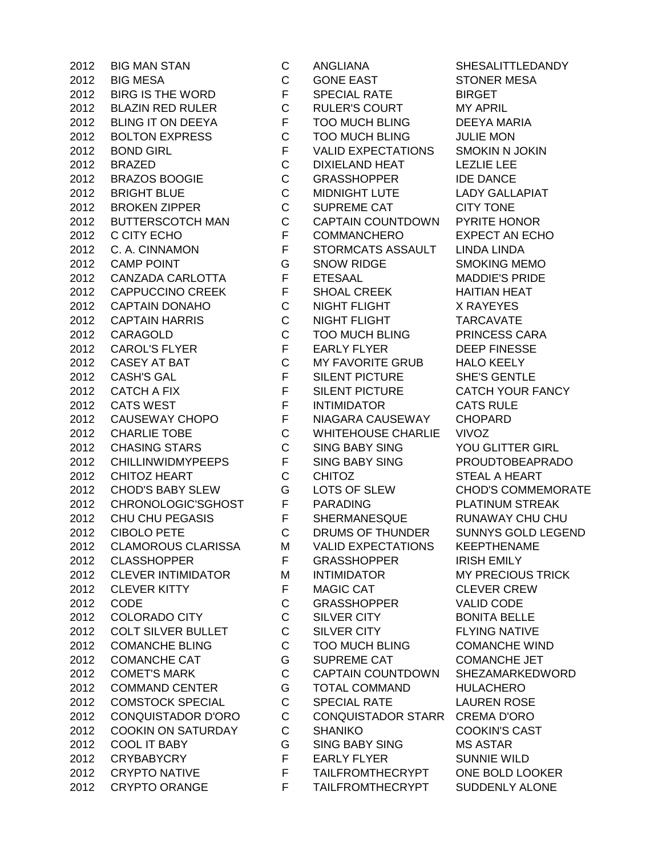CRYPTO ORANGE F TAILFROMTHECRYPT SUDDENLY ALONE

 BIG MAN STAN C ANGLIANA SHESALITTLEDANDY BIG MESA C GONE EAST STONER MESA 2012 BIRG IS THE WORD F SPECIAL RATE BIRGET BLAZIN RED RULER C RULER'S COURT MY APRIL BLING IT ON DEEYA F TOO MUCH BLING DEEYA MARIA BOLTON EXPRESS C TOO MUCH BLING JULIE MON BOND GIRL F VALID EXPECTATIONS SMOKIN N JOKIN BRAZED C DIXIELAND HEAT LEZLIE LEE 2012 BRAZOS BOOGIE C GRASSHOPPER IDE DANCE BRIGHT BLUE C MIDNIGHT LUTE LADY GALLAPIAT 2012 BROKEN ZIPPER C SUPREME CAT CITY TONE BUTTERSCOTCH MAN C CAPTAIN COUNTDOWN PYRITE HONOR 2012 C CITY ECHO F COMMANCHERO EXPECT AN ECHO C. A. CINNAMON F STORMCATS ASSAULT LINDA LINDA CAMP POINT G SNOW RIDGE SMOKING MEMO CANZADA CARLOTTA F ETESAAL MADDIE'S PRIDE 2012 CAPPUCCINO CREEK F SHOAL CREEK HAITIAN HEAT CAPTAIN DONAHO C NIGHT FLIGHT X RAYEYES CAPTAIN HARRIS C NIGHT FLIGHT TARCAVATE CARAGOLD C TOO MUCH BLING PRINCESS CARA 2012 CAROL'S FLYER FEARLY FLYER DEEP FINESSE CASEY AT BAT C MY FAVORITE GRUB HALO KEELY CASH'S GAL F SILENT PICTURE SHE'S GENTLE 2012 CATCH A FIX F SILENT PICTURE CATCH YOUR FANCY 2012 CATS WEST F INTIMIDATOR CATS RULE CAUSEWAY CHOPO F NIAGARA CAUSEWAY CHOPARD CHARLIE TOBE C WHITEHOUSE CHARLIE VIVOZ CHASING STARS C SING BABY SING YOU GLITTER GIRL CHILLINWIDMYPEEPS F SING BABY SING PROUDTOBEAPRADO 2012 CHITOZ HEART C CHITOZ STEAL A HEART CHOD'S BABY SLEW G LOTS OF SLEW CHOD'S COMMEMORATE CHRONOLOGIC'SGHOST F PARADING PLATINUM STREAK CHU CHU PEGASIS F SHERMANESQUE RUNAWAY CHU CHU CIBOLO PETE C DRUMS OF THUNDER SUNNYS GOLD LEGEND CLAMOROUS CLARISSA M VALID EXPECTATIONS KEEPTHENAME 2012 CLASSHOPPER F GRASSHOPPER IRISH EMILY 2012 CLEVER INTIMIDATOR M INTIMIDATOR MY PRECIOUS TRICK CLEVER KITTY F MAGIC CAT CLEVER CREW CODE C GRASSHOPPER VALID CODE 2012 COLORADO CITY C SILVER CITY BONITA BELLE COLT SILVER BULLET C SILVER CITY FLYING NATIVE COMANCHE BLING C TOO MUCH BLING COMANCHE WIND 2012 COMANCHE CAT G SUPREME CAT COMANCHE JET COMET'S MARK C CAPTAIN COUNTDOWN SHEZAMARKEDWORD COMMAND CENTER G TOTAL COMMAND HULACHERO COMSTOCK SPECIAL C SPECIAL RATE LAUREN ROSE CONQUISTADOR D'ORO C CONQUISTADOR STARR CREMA D'ORO COOKIN ON SATURDAY C SHANIKO COOKIN'S CAST COOL IT BABY G SING BABY SING MS ASTAR CRYBABYCRY F EARLY FLYER SUNNIE WILD CRYPTO NATIVE F TAILFROMTHECRYPT ONE BOLD LOOKER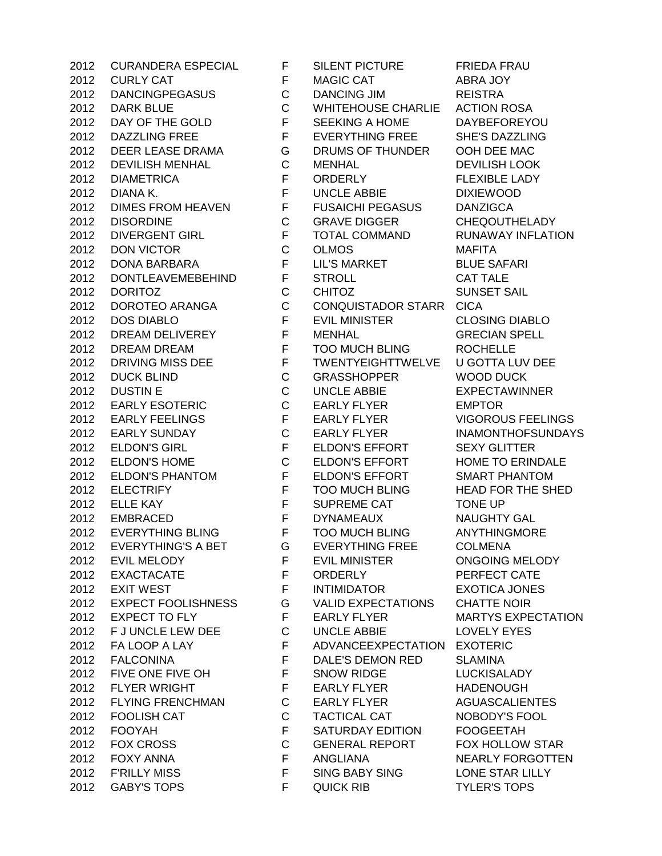GABY'S TOPS F QUICK RIB TYLER'S TOPS

 CURANDERA ESPECIAL F SILENT PICTURE FRIEDA FRAU 2012 CURLY CAT FMAGIC CAT ABRA JOY DANCINGPEGASUS C DANCING JIM REISTRA DARK BLUE C WHITEHOUSE CHARLIE ACTION ROSA DAY OF THE GOLD F SEEKING A HOME DAYBEFOREYOU DAZZLING FREE F EVERYTHING FREE SHE'S DAZZLING DEER LEASE DRAMA G DRUMS OF THUNDER OOH DEE MAC DEVILISH MENHAL C MENHAL DEVILISH LOOK 2012 DIAMETRICA F ORDERLY FLEXIBLE LADY DIANA K. F UNCLE ABBIE DIXIEWOOD DIMES FROM HEAVEN F FUSAICHI PEGASUS DANZIGCA DISORDINE C GRAVE DIGGER CHEQOUTHELADY DIVERGENT GIRL F TOTAL COMMAND RUNAWAY INFLATION DON VICTOR C OLMOS MAFITA DONA BARBARA F LIL'S MARKET BLUE SAFARI DONTLEAVEMEBEHIND F STROLL CAT TALE DORITOZ C CHITOZ SUNSET SAIL 2012 DOROTEO ARANGA C CONQUISTADOR STARR CICA DOS DIABLO F EVIL MINISTER CLOSING DIABLO DREAM DELIVEREY F MENHAL GRECIAN SPELL DREAM DREAM F TOO MUCH BLING ROCHELLE 2012 DRIVING MISS DEE FTWENTYEIGHTTWELVE U GOTTA LUV DEE DUCK BLIND C GRASSHOPPER WOOD DUCK DUSTIN E C UNCLE ABBIE EXPECTAWINNER EARLY ESOTERIC C EARLY FLYER EMPTOR 2012 EARLY FEELINGS F EARLY FLYER VIGOROUS FEELINGS EARLY SUNDAY C EARLY FLYER INAMONTHOFSUNDAYS ELDON'S GIRL F ELDON'S EFFORT SEXY GLITTER ELDON'S HOME C ELDON'S EFFORT HOME TO ERINDALE ELDON'S PHANTOM F ELDON'S EFFORT SMART PHANTOM 2012 ELECTRIFY F TOO MUCH BLING HEAD FOR THE SHED ELLE KAY F SUPREME CAT TONE UP EMBRACED F DYNAMEAUX NAUGHTY GAL EVERYTHING BLING F TOO MUCH BLING ANYTHINGMORE EVERYTHING'S A BET G EVERYTHING FREE COLMENA EVIL MELODY F EVIL MINISTER ONGOING MELODY EXACTACATE F ORDERLY PERFECT CATE 2012 EXIT WEST F INTIMIDATOR EXOTICA JONES EXPECT FOOLISHNESS G VALID EXPECTATIONS CHATTE NOIR 2012 EXPECT TO FLY F EARLY FLYER MARTYS EXPECTATION F J UNCLE LEW DEE C UNCLE ABBIE LOVELY EYES FA LOOP A LAY F ADVANCEEXPECTATION EXOTERIC FALCONINA F DALE'S DEMON RED SLAMINA FIVE ONE FIVE OH F SNOW RIDGE LUCKISALADY 2012 FLYER WRIGHT F EARLY FLYER HADENOUGH FLYING FRENCHMAN C EARLY FLYER AGUASCALIENTES FOOLISH CAT C TACTICAL CAT NOBODY'S FOOL 2012 FOOYAH F SATURDAY EDITION FOOGEETAH FOX CROSS C GENERAL REPORT FOX HOLLOW STAR FOXY ANNA F ANGLIANA NEARLY FORGOTTEN 2012 F'RILLY MISS F SING BABY SING CONE STAR LILLY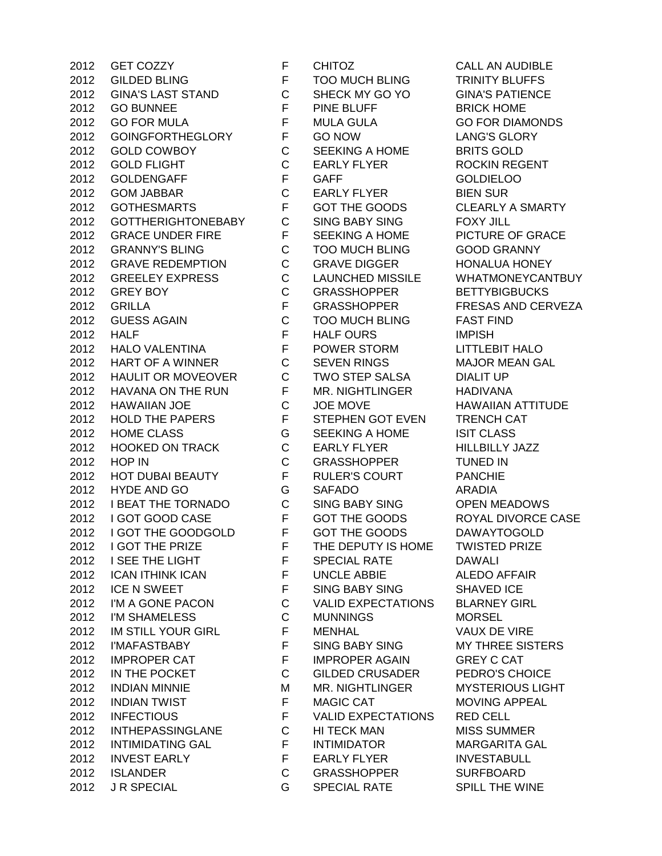GILDED BLING F TOO MUCH BLING TRINITY BLUFFS GINA'S LAST STAND C SHECK MY GO YO GINA'S PATIENCE 2012 GO BUNNEE **F** PINE BLUFF BRICK HOME GO FOR MULA F MULA GULA GO FOR DIAMONDS GOINGFORTHEGLORY F GO NOW LANG'S GLORY GOLD COWBOY C SEEKING A HOME BRITS GOLD 2012 GOLD FLIGHT C EARLY FLYER ROCKIN REGENT 2012 GOLDENGAFF F GAFF GOLDIELOO GOM JABBAR C EARLY FLYER BIEN SUR GOTHESMARTS F GOT THE GOODS CLEARLY A SMARTY GOTTHERIGHTONEBABY C SING BABY SING FOXY JILL 2012 GRACE UNDER FIRE F SEEKING A HOME PICTURE OF GRACE GRANNY'S BLING C TOO MUCH BLING GOOD GRANNY GRAVE REDEMPTION C GRAVE DIGGER HONALUA HONEY GREELEY EXPRESS C LAUNCHED MISSILE WHATMONEYCANTBUY 2012 GREY BOY C GRASSHOPPER BETTYBIGBUCKS GRILLA F GRASSHOPPER FRESAS AND CERVEZA GUESS AGAIN C TOO MUCH BLING FAST FIND 2012 HALF **F HALF OURS** IMPISH HALO VALENTINA F POWER STORM LITTLEBIT HALO 2012 HART OF A WINNER C SEVEN RINGS MAJOR MEAN GAL HAULIT OR MOVEOVER C TWO STEP SALSA DIALIT UP 2012 HAVANA ON THE RUN F MR. NIGHTLINGER HADIVANA HAWAIIAN JOE C JOE MOVE HAWAIIAN ATTITUDE 2012 HOLD THE PAPERS F STEPHEN GOT EVEN TRENCH CAT 2012 HOME CLASS G SEEKING A HOME ISIT CLASS HOOKED ON TRACK C EARLY FLYER HILLBILLY JAZZ HOP IN C GRASSHOPPER TUNED IN 2012 HOT DUBAI BEAUTY F RULER'S COURT PANCHIE HYDE AND GO G SAFADO ARADIA I BEAT THE TORNADO C SING BABY SING OPEN MEADOWS 2012 I GOT GOOD CASE F GOT THE GOODS ROYAL DIVORCE CASE I GOT THE GOODGOLD F GOT THE GOODS DAWAYTOGOLD 2012 I GOT THE PRIZE F THE DEPUTY IS HOME TWISTED PRIZE 2012 I SEE THE LIGHT F SPECIAL RATE DAWALI ICAN ITHINK ICAN F UNCLE ABBIE ALEDO AFFAIR 2012 ICE N SWEET F SING BABY SING SHAVED ICE I'M A GONE PACON C VALID EXPECTATIONS BLARNEY GIRL I'M SHAMELESS C MUNNINGS MORSEL IM STILL YOUR GIRL F MENHAL VAUX DE VIRE I'MAFASTBABY F SING BABY SING MY THREE SISTERS 2012 IMPROPER CAT F IMPROPER AGAIN GREY C CAT IN THE POCKET C GILDED CRUSADER PEDRO'S CHOICE 2012 INDIAN MINNIE MAN MR. NIGHTLINGER MYSTERIOUS LIGHT INDIAN TWIST F MAGIC CAT MOVING APPEAL INFECTIOUS F VALID EXPECTATIONS RED CELL INTHEPASSINGLANE C HI TECK MAN MISS SUMMER INTIMIDATING GAL F INTIMIDATOR MARGARITA GAL 2012 INVEST EARLY F EARLY FLYER INVESTABULL ISLANDER C GRASSHOPPER SURFBOARD J R SPECIAL G SPECIAL RATE SPILL THE WINE

GET COZZY F CHITOZ CALL AN AUDIBLE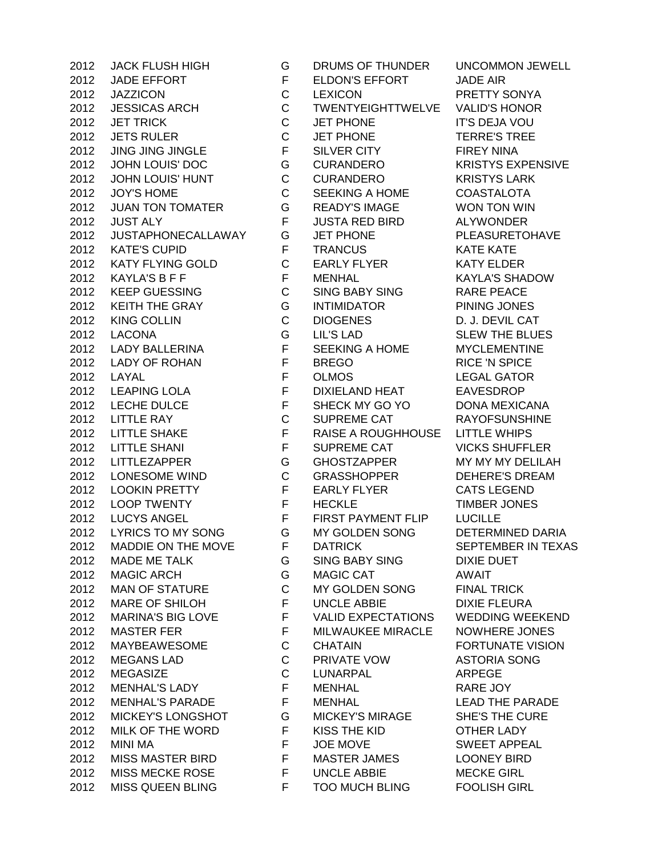JADE EFFORT F ELDON'S EFFORT JADE AIR JAZZICON C LEXICON PRETTY SONYA JESSICAS ARCH C TWENTYEIGHTTWELVE VALID'S HONOR JET TRICK C JET PHONE IT'S DEJA VOU JETS RULER C JET PHONE TERRE'S TREE JING JING JINGLE F SILVER CITY FIREY NINA 2012 JOHN LOUIS' DOC GURANDERO KRISTYS EXPENSIVE JOHN LOUIS' HUNT C CURANDERO KRISTYS LARK JOY'S HOME C SEEKING A HOME COASTALOTA JUAN TON TOMATER G READY'S IMAGE WON TON WIN JUST ALY F JUSTA RED BIRD ALYWONDER JUSTAPHONECALLAWAY G JET PHONE PLEASURETOHAVE 2012 KATE'S CUPID F TRANCUS KATE KATE 2012 KATY FLYING GOLD C EARLY FLYER KATY ELDER 2012 KAYLA'S B F F F MENHAL KAYLA'S SHADOW KEEP GUESSING C SING BABY SING RARE PEACE KEITH THE GRAY G INTIMIDATOR PINING JONES KING COLLIN C DIOGENES D. J. DEVIL CAT LACONA G LIL'S LAD SLEW THE BLUES LADY BALLERINA F SEEKING A HOME MYCLEMENTINE LADY OF ROHAN F BREGO RICE 'N SPICE LAYAL F OLMOS LEGAL GATOR LEAPING LOLA F DIXIELAND HEAT EAVESDROP LECHE DULCE F SHECK MY GO YO DONA MEXICANA LITTLE RAY C SUPREME CAT RAYOFSUNSHINE LITTLE SHAKE F RAISE A ROUGHHOUSE LITTLE WHIPS LITTLE SHANI F SUPREME CAT VICKS SHUFFLER LITTLEZAPPER G GHOSTZAPPER MY MY MY DELILAH LONESOME WIND C GRASSHOPPER DEHERE'S DREAM 2012 LOOKIN PRETTY FRARLY FLYER CATS LEGEND LOOP TWENTY F HECKLE TIMBER JONES 2012 LUCYS ANGEL F FIRST PAYMENT FLIP LUCILLE 2012 LYRICS TO MY SONG G MY GOLDEN SONG DETERMINED DARIA 2012 MADDIE ON THE MOVE F DATRICK SEPTEMBER IN TEXAS MADE ME TALK G SING BABY SING DIXIE DUET 2012 MAGIC ARCH G MAGIC CAT AWAIT MAN OF STATURE C MY GOLDEN SONG FINAL TRICK 2012 MARE OF SHILOH FUNCLE ABBIE DIXIE FLEURA MARINA'S BIG LOVE F VALID EXPECTATIONS WEDDING WEEKEND 2012 MASTER FER FER F MILWAUKEE MIRACLE NOWHERE JONES MAYBEAWESOME C CHATAIN FORTUNATE VISION MEGANS LAD C PRIVATE VOW ASTORIA SONG MEGASIZE C LUNARPAL ARPEGE MENHAL'S LADY F MENHAL RARE JOY MENHAL'S PARADE F MENHAL LEAD THE PARADE MICKEY'S LONGSHOT G MICKEY'S MIRAGE SHE'S THE CURE MILK OF THE WORD F KISS THE KID OTHER LADY MINI MA F JOE MOVE SWEET APPEAL MISS MASTER BIRD F MASTER JAMES LOONEY BIRD MISS MECKE ROSE F UNCLE ABBIE MECKE GIRL MISS QUEEN BLING F TOO MUCH BLING FOOLISH GIRL

JACK FLUSH HIGH G DRUMS OF THUNDER UNCOMMON JEWELL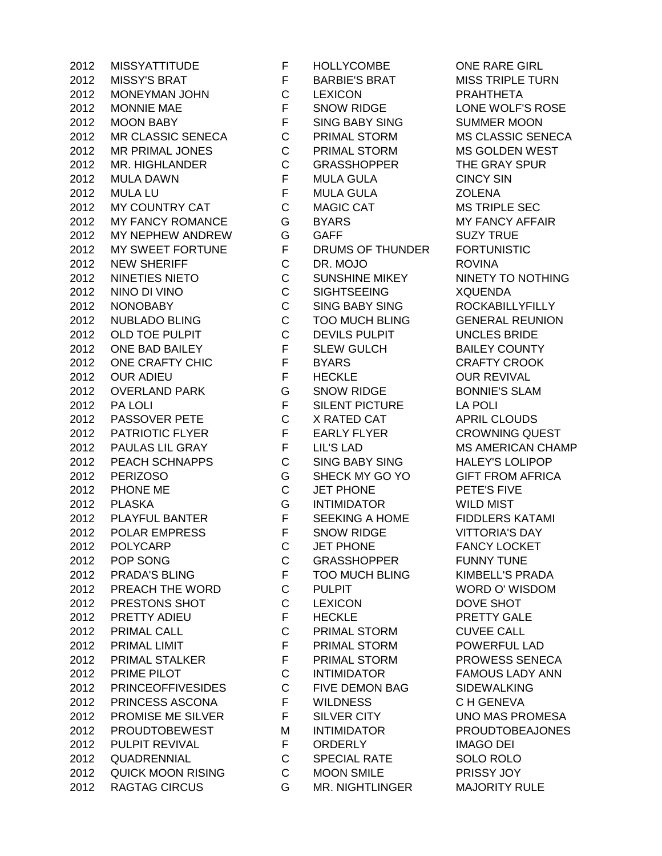2012 MISSY'S BRAT THE RARBIE'S BRAT MISS TRIPLE TURN MONEYMAN JOHN C LEXICON PRAHTHETA 2012 MONNIE MAE F SNOW RIDGE LONE WOLF'S ROSE MOON BABY F SING BABY SING SUMMER MOON MR CLASSIC SENECA C PRIMAL STORM MS CLASSIC SENECA MR PRIMAL JONES C PRIMAL STORM MS GOLDEN WEST MR. HIGHLANDER C GRASSHOPPER THE GRAY SPUR MULA DAWN F MULA GULA CINCY SIN MULA LU F MULA GULA ZOLENA MY COUNTRY CAT C MAGIC CAT MS TRIPLE SEC MY FANCY ROMANCE G BYARS MY FANCY AFFAIR 2012 MY NEPHEW ANDREW GGAFF SUZY TRUE 2012 MY SWEET FORTUNE F DRUMS OF THUNDER FORTUNISTIC NEW SHERIFF C DR. MOJO ROVINA 2012 NINETIES NIETO **CUNSHINE MIKEY** NINETY TO NOTHING NINO DI VINO C SIGHTSEEING XQUENDA NONOBABY C SING BABY SING ROCKABILLYFILLY NUBLADO BLING C TOO MUCH BLING GENERAL REUNION OLD TOE PULPIT C DEVILS PULPIT UNCLES BRIDE ONE BAD BAILEY F SLEW GULCH BAILEY COUNTY 2012 ONE CRAFTY CHIC FBYARS CRAFTY CROOK OUR ADIEU F HECKLE OUR REVIVAL OVERLAND PARK G SNOW RIDGE BONNIE'S SLAM 2012 PA LOLI **F** SILENT PICTURE LA POLI PASSOVER PETE C X RATED CAT APRIL CLOUDS 2012 PATRIOTIC FLYER F EARLY FLYER CROWNING QUEST PAULAS LIL GRAY F LIL'S LAD MS AMERICAN CHAMP PEACH SCHNAPPS C SING BABY SING HALEY'S LOLIPOP PERIZOSO G SHECK MY GO YO GIFT FROM AFRICA PHONE ME C JET PHONE PETE'S FIVE PLASKA G INTIMIDATOR WILD MIST 2012 PLAYFUL BANTER F SEEKING A HOME FIDDLERS KATAMI POLAR EMPRESS F SNOW RIDGE VITTORIA'S DAY POLYCARP C JET PHONE FANCY LOCKET POP SONG C GRASSHOPPER FUNNY TUNE PRADA'S BLING F TOO MUCH BLING KIMBELL'S PRADA PREACH THE WORD C PULPIT WORD O' WISDOM PRESTONS SHOT C LEXICON DOVE SHOT 2012 PRETTY ADIEU F HECKLE PRETTY GALE PRIMAL CALL C PRIMAL STORM CUVEE CALL PRIMAL LIMIT F PRIMAL STORM POWERFUL LAD 2012 PRIMAL STALKER F PRIMAL STORM PROWESS SENECA PRIME PILOT C INTIMIDATOR FAMOUS LADY ANN PRINCEOFFIVESIDES C FIVE DEMON BAG SIDEWALKING PRINCESS ASCONA F WILDNESS C H GENEVA 2012 PROMISE ME SILVER FUSILVER CITY THE UNO MAS PROMESA PROUDTOBEWEST M INTIMIDATOR PROUDTOBEAJONES PULPIT REVIVAL F ORDERLY IMAGO DEI QUADRENNIAL C SPECIAL RATE SOLO ROLO QUICK MOON RISING C MOON SMILE PRISSY JOY RAGTAG CIRCUS G MR. NIGHTLINGER MAJORITY RULE

MISSYATTITUDE F HOLLYCOMBE ONE RARE GIRL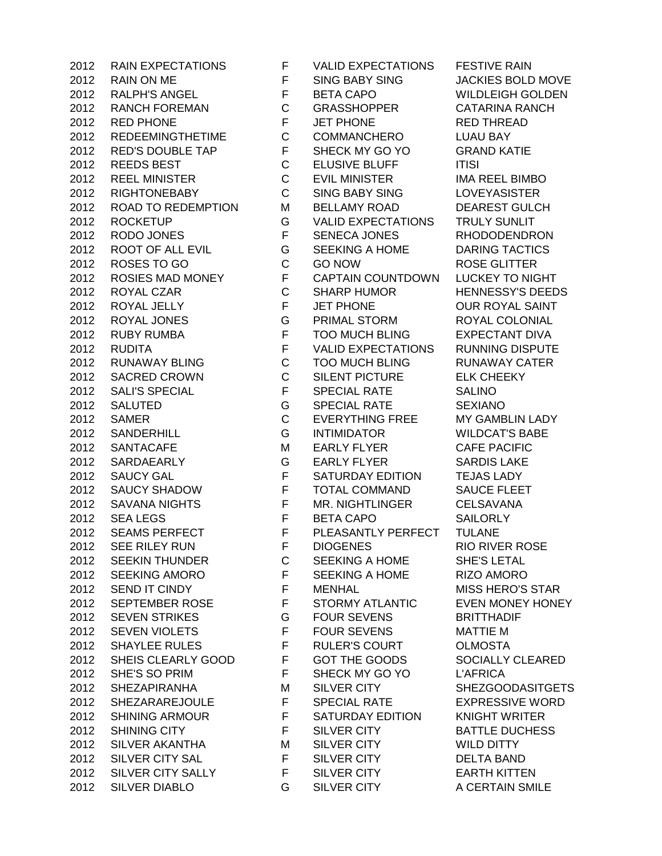RAIN ON ME F SING BABY SING JACKIES BOLD MOVE RALPH'S ANGEL F BETA CAPO WILDLEIGH GOLDEN RANCH FOREMAN C GRASSHOPPER CATARINA RANCH RED PHONE F JET PHONE RED THREAD REDEEMINGTHETIME C COMMANCHERO LUAU BAY RED'S DOUBLE TAP F SHECK MY GO YO GRAND KATIE 2012 REEDS BEST C ELUSIVE BLUFF ITISI REEL MINISTER C EVIL MINISTER IMA REEL BIMBO RIGHTONEBABY C SING BABY SING LOVEYASISTER ROAD TO REDEMPTION M BELLAMY ROAD DEAREST GULCH ROCKETUP G VALID EXPECTATIONS TRULY SUNLIT RODO JONES F SENECA JONES RHODODENDRON ROOT OF ALL EVIL G SEEKING A HOME DARING TACTICS 2012 ROSES TO GO C GO NOW ROSE GLITTER ROSIES MAD MONEY F CAPTAIN COUNTDOWN LUCKEY TO NIGHT 2012 ROYAL CZAR C SHARP HUMOR HENNESSY'S DEEDS ROYAL JELLY F JET PHONE OUR ROYAL SAINT ROYAL JONES G PRIMAL STORM ROYAL COLONIAL RUBY RUMBA F TOO MUCH BLING EXPECTANT DIVA RUDITA F VALID EXPECTATIONS RUNNING DISPUTE RUNAWAY BLING C TOO MUCH BLING RUNAWAY CATER SACRED CROWN C SILENT PICTURE ELK CHEEKY SALI'S SPECIAL F SPECIAL RATE SALINO SALUTED G SPECIAL RATE SEXIANO SAMER C EVERYTHING FREE MY GAMBLIN LADY SANDERHILL G INTIMIDATOR WILDCAT'S BABE SANTACAFE M EARLY FLYER CAFE PACIFIC SARDAEARLY G EARLY FLYER SARDIS LAKE SAUCY GAL F SATURDAY EDITION TEJAS LADY SAUCY SHADOW F TOTAL COMMAND SAUCE FLEET SAVANA NIGHTS F MR. NIGHTLINGER CELSAVANA 2012 SEA LEGS **F** BETA CAPO SAILORLY 2012 SEAMS PERFECT F PLEASANTLY PERFECT TULANE SEE RILEY RUN F DIOGENES RIO RIVER ROSE SEEKIN THUNDER C SEEKING A HOME SHE'S LETAL SEEKING AMORO F SEEKING A HOME RIZO AMORO 2012 SEND IT CINDY F MENHAL MISS HERO'S STAR SEPTEMBER ROSE F STORMY ATLANTIC EVEN MONEY HONEY SEVEN STRIKES G FOUR SEVENS BRITTHADIF 2012 SEVEN VIOLETS F FOUR SEVENS MATTIE M SHAYLEE RULES F RULER'S COURT OLMOSTA SHEIS CLEARLY GOOD F GOT THE GOODS SOCIALLY CLEARED SHE'S SO PRIM F SHECK MY GO YO L'AFRICA SHEZAPIRANHA M SILVER CITY SHEZGOODASITGETS SHEZARAREJOULE F SPECIAL RATE EXPRESSIVE WORD SHINING ARMOUR F SATURDAY EDITION KNIGHT WRITER SHINING CITY F SILVER CITY BATTLE DUCHESS 2012 SILVER AKANTHA M SILVER CITY WILD DITTY SILVER CITY SAL F SILVER CITY DELTA BAND SILVER CITY SALLY F SILVER CITY EARTH KITTEN SILVER DIABLO G SILVER CITY A CERTAIN SMILE

RAIN EXPECTATIONS F VALID EXPECTATIONS FESTIVE RAIN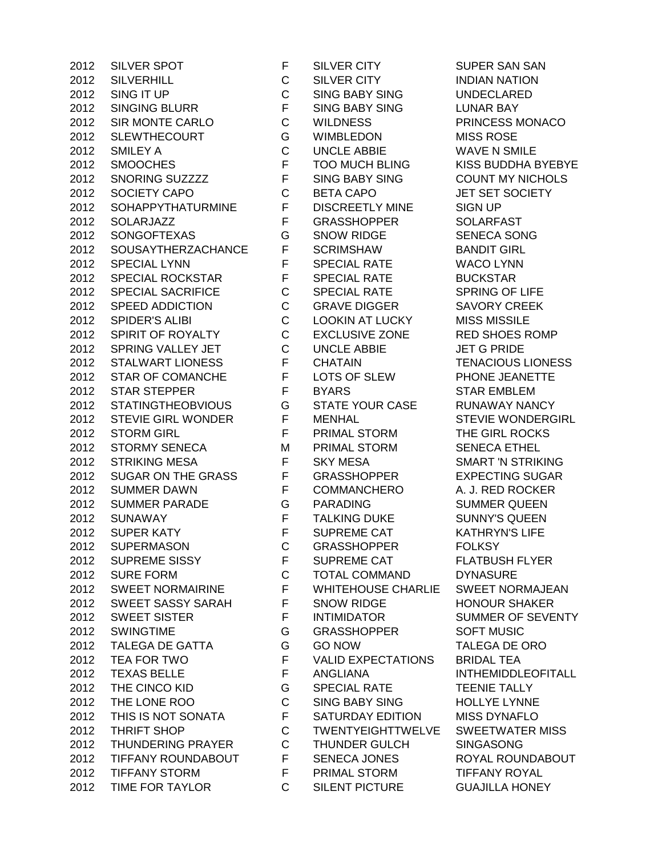|      | 2012 SILVER SPOT          |
|------|---------------------------|
|      | 2012 SILVERHILL           |
| 2012 | SING IT UP                |
| 2012 | <b>SINGING BLURR</b>      |
|      | 2012 SIR MONTE CARLO      |
|      | 2012 SLEWTHECOURT         |
|      | 2012 SMILEY A             |
| 2012 | <b>SMOOCHES</b>           |
| 2012 | SNORING SUZZZZ            |
|      | 2012 SOCIETY CAPO         |
|      | 2012 SOHAPPYTHATURMINE    |
|      | 2012 SOLARJAZZ            |
|      | 2012 SONGOFTEXAS          |
|      |                           |
| 2012 | SOUSAYTHERZACHANCE        |
| 2012 | <b>SPECIAL LYNN</b>       |
|      | 2012 SPECIAL ROCKSTAR     |
|      | 2012 SPECIAL SACRIFICE    |
|      | 2012 SPEED ADDICTION      |
| 2012 | <b>SPIDER'S ALIBI</b>     |
| 2012 | SPIRIT OF ROYALTY         |
|      | 2012 SPRING VALLEY JET    |
|      | 2012 STALWART LIONESS     |
|      | 2012 STAR OF COMANCHE     |
|      | 2012 STAR STEPPER         |
| 2012 | <b>STATINGTHEOBVIOUS</b>  |
| 2012 | <b>STEVIE GIRL WONDER</b> |
|      | 2012 STORM GIRL           |
|      | 2012 STORMY SENECA        |
|      | 2012 STRIKING MESA        |
| 2012 | SUGAR ON THE GRASS        |
| 2012 | <b>SUMMER DAWN</b>        |
|      | 2012 SUMMER PARADE        |
|      | 2012 SUNAWAY              |
|      | 2012 SUPER KATY           |
| 2012 | <b>SUPERMASON</b>         |
| 2012 | SUPREME SISSY             |
| 2012 | <b>SURE FORM</b>          |
| 2012 | <b>SWEET NORMAIRINE</b>   |
| 2012 | SWEET SASSY SARAH         |
| 2012 | <b>SWEET SISTER</b>       |
| 2012 | <b>SWINGTIME</b>          |
| 2012 | <b>TALEGA DE GATTA</b>    |
| 2012 | TEA FOR TWO               |
| 2012 | <b>TEXAS BELLE</b>        |
| 2012 | THE CINCO KID             |
| 2012 | THE LONE ROO              |
| 2012 | THIS IS NOT SONATA        |
| 2012 | THRIFT SHOP               |
| 2012 | <b>THUNDERING PRAYER</b>  |
| 2012 | <b>TIFFANY ROUNDABOUT</b> |
|      | 2012 TIFFANY STORM        |
|      | <b>TIME FOR TAYLOR</b>    |
| 2012 |                           |

F SILVER CITY SUPER SAN SAN C SILVER CITY INDIAN NATION C SING BABY SING UNDECLARED F SING BABY SING LUNAR BAY C WILDNESS PRINCESS MONACO G WIMBLEDON MISS ROSE C UNCLE ABBIE WAVE N SMILE F TOO MUCH BLING KISS BUDDHA BYEBYE F SING BABY SING COUNT MY NICHOLS C BETA CAPO JET SET SOCIETY F DISCREETLY MINE SIGN UP F GRASSHOPPER SOLARFAST G SNOW RIDGE SENECA SONG F SCRIMSHAW BANDIT GIRL F SPECIAL RATE WACO LYNN F SPECIAL RATE BUCKSTAR C SPECIAL RATE SPRING OF LIFE C GRAVE DIGGER SAVORY CREEK C LOOKIN AT LUCKY MISS MISSILE C EXCLUSIVE ZONE RED SHOES ROMP C UNCLE ABBIE JET G PRIDE F CHATAIN TENACIOUS LIONESS F LOTS OF SLEW PHONE JEANETTE F BYARS STAR EMBLEM G STATE YOUR CASE RUNAWAY NANCY F MENHAL STEVIE WONDERGIRL F PRIMAL STORM THE GIRL ROCKS M PRIMAL STORM SENECA ETHEL F SKY MESA SMART 'N STRIKING F GRASSHOPPER EXPECTING SUGAR F COMMANCHERO A. J. RED ROCKER **2012 G PARADING SUMMER QUEEN** F TALKING DUKE SUNNY'S QUEEN F SUPREME CAT KATHRYN'S LIFE C GRASSHOPPER FOLKSY F SUPREME CAT FLATBUSH FLYER C TOTAL COMMAND DYNASURE F WHITEHOUSE CHARLIE SWEET NORMAJEAN F SNOW RIDGE HONOUR SHAKER F INTIMIDATOR SUMMER OF SEVENTY G GRASSHOPPER SOFT MUSIC 2012 GO NOW TALEGA DE ORO F VALID EXPECTATIONS BRIDAL TEA F ANGLIANA INTHEMIDDLEOFITALL G SPECIAL RATE TEENIE TALLY C SING BABY SING HOLLYE LYNNE F SATURDAY EDITION MISS DYNAFLO C TWENTYEIGHTTWELVE SWEETWATER MISS C THUNDER GULCH SINGASONG F SENECA JONES ROYAL ROUNDABOUT F PRIMAL STORM TIFFANY ROYAL C SILENT PICTURE GUAJILLA HONEY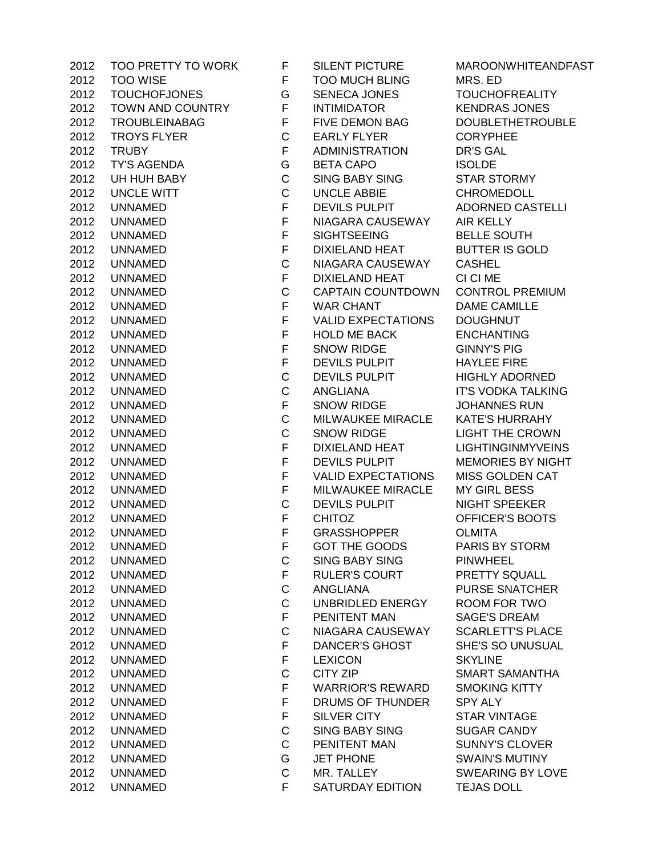| 2012. | TOO PRETTY TO WO       |
|-------|------------------------|
| 2012  | <b>TOO WISE</b>        |
| 2012  | <b>TOUCHOFJONES</b>    |
| 2012  | <b>TOWN AND COUNTF</b> |
| 2012  | <b>TROUBLEINABAG</b>   |
| 2012  | <b>TROYS FLYER</b>     |
| 2012  | <b>TRUBY</b>           |
| 2012  | <b>TY'S AGENDA</b>     |
| 2012  | UH HUH BABY            |
| 2012  | <b>UNCLE WITT</b>      |
| 2012  | UNNAMED                |
| 2012  | <b>UNNAMED</b>         |
|       | <b>UNNAMED</b>         |
| 2012  |                        |
| 2012  | UNNAMED                |
| 2012  | UNNAMED                |
| 2012  | UNNAMED                |
| 2012  | <b>UNNAMED</b>         |
| 2012  | <b>UNNAMED</b>         |
| 2012  | <b>UNNAMED</b>         |
| 2012  | <b>UNNAMED</b>         |
| 2012  | <b>UNNAMED</b>         |
| 2012  | <b>UNNAMED</b>         |
| 2012  | <b>UNNAMED</b>         |
| 2012  | <b>UNNAMED</b>         |
| 2012  | UNNAMED                |
| 2012  | UNNAMED                |
| 2012  | UNNAMED                |
| 2012  | <b>UNNAMED</b>         |
| 2012  | UNNAMED                |
| 2012  | UNNAMED                |
| 2012  | <b>UNNAMED</b>         |
| 2012  | <b>UNNAMED</b>         |
| 2012  | <b>UNNAMED</b>         |
| 2012  | <b>UNNAMED</b>         |
| 2012  | UNNAMED                |
| 2012  | UNNAMED                |
| 2012  | UNNAMED                |
| 2012  | UNNAMED                |
| 2012  | UNNAMED                |
| 2012  | UNNAMED                |
| 2012  | UNNAMED                |
| 2012  | UNNAMED                |
| 2012  | UNNAMED                |
| 2012  | UNNAMED                |
|       |                        |
| 2012  | UNNAMED                |
| 2012  | UNNAMED                |
| 2012  | UNNAMED                |
| 2012  | UNNAMED                |
| 2012  | UNNAMED                |
| 2012  | UNNAMED                |
| 2012  | UNNAMED                |
| 2012  | <b>UNNAMED</b>         |

ORK F SILENT PICTURE MAROONWHITEANDFAST F TOO MUCH BLING MRS. ED G SENECA JONES TOUCHOFREALITY 2012 TOWN THE INTIMIDATOR READRAS JONES F FIVE DEMON BAG DOUBLETHETROUBLE C EARLY FLYER CORYPHEE F ADMINISTRATION DR'S GAL G BETA CAPO ISOLDE C SING BABY SING STAR STORMY C UNCLE ABBIE CHROMEDOLL F DEVILS PULPIT ADORNED CASTELLI F NIAGARA CAUSEWAY AIR KELLY F SIGHTSEEING BELLE SOUTH F DIXIELAND HEAT BUTTER IS GOLD C NIAGARA CAUSEWAY CASHEL F DIXIELAND HEAT CI CI ME C CAPTAIN COUNTDOWN CONTROL PREMIUM F WAR CHANT DAME CAMILLE F VALID EXPECTATIONS DOUGHNUT F HOLD ME BACK ENCHANTING F SNOW RIDGE GINNY'S PIG F DEVILS PULPIT HAYLEE FIRE C DEVILS PULPIT HIGHLY ADORNED C ANGLIANA IT'S VODKA TALKING F SNOW RIDGE JOHANNES RUN C MILWAUKEE MIRACLE KATE'S HURRAHY C SNOW RIDGE LIGHT THE CROWN F DIXIELAND HEAT LIGHTINGINMYVEINS F DEVILS PULPIT MEMORIES BY NIGHT F VALID EXPECTATIONS MISS GOLDEN CAT F MILWAUKEE MIRACLE MY GIRL BESS C DEVILS PULPIT NIGHT SPEEKER F CHITOZ OFFICER'S BOOTS F GRASSHOPPER OLMITA F GOT THE GOODS PARIS BY STORM C SING BABY SING PINWHEEL F RULER'S COURT PRETTY SQUALL C ANGLIANA PURSE SNATCHER C UNBRIDLED ENERGY ROOM FOR TWO F PENITENT MAN SAGE'S DREAM C NIAGARA CAUSEWAY SCARLETT'S PLACE F DANCER'S GHOST SHE'S SO UNUSUAL F LEXICON SKYLINE C CITY ZIP SMART SAMANTHA F WARRIOR'S REWARD SMOKING KITTY F DRUMS OF THUNDER SPY ALY F SILVER CITY STAR VINTAGE C SING BABY SING SUGAR CANDY C PENITENT MAN SUNNY'S CLOVER **2012 UNITED SWAIN'S MUTINY** C MR. TALLEY SWEARING BY LOVE F SATURDAY EDITION TEJAS DOLL